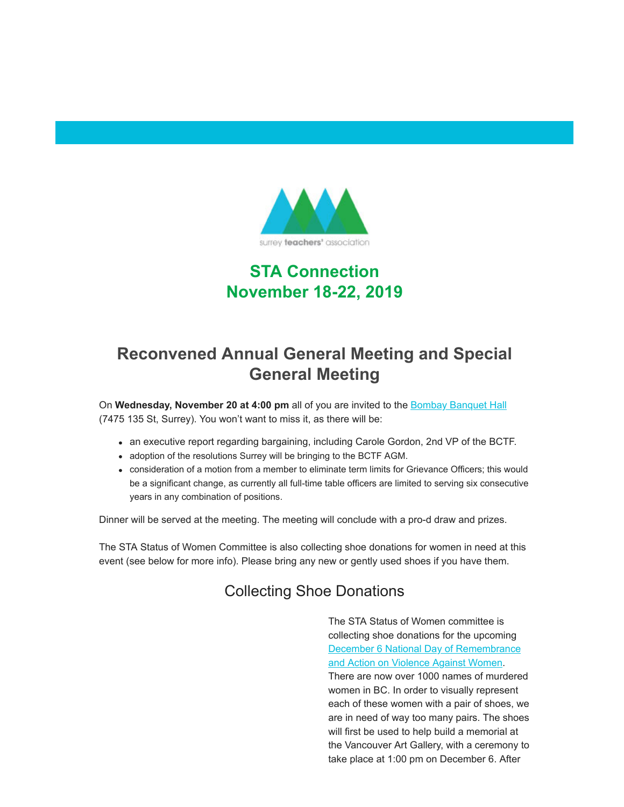

## **STA Connection November 18-22, 2019**

# **Reconvened Annual General Meeting and Special General Meeting**

On **Wednesday, November 20 at 4:00 pm** all of you are invited to the [Bombay Banquet Hall](https://surreyteachers.us20.list-manage.com/track/click?u=37ec644ae87e34b54b3912660&id=4c294bc755&e=7261da6bdb) (7475 135 St, Surrey). You won't want to miss it, as there will be:

- an executive report regarding bargaining, including Carole Gordon, 2nd VP of the BCTF.
- adoption of the resolutions Surrey will be bringing to the BCTF AGM.
- consideration of a motion from a member to eliminate term limits for Grievance Officers; this would be a significant change, as currently all full-time table officers are limited to serving six consecutive years in any combination of positions.

Dinner will be served at the meeting. The meeting will conclude with a pro-d draw and prizes.

The STA Status of Women Committee is also collecting shoe donations for women in need at this event (see below for more info). Please bring any new or gently used shoes if you have them.

## Collecting Shoe Donations

The STA Status of Women committee is collecting shoe donations for the upcoming **[December 6 National Day of Remembrance](https://surreyteachers.us20.list-manage.com/track/click?u=37ec644ae87e34b54b3912660&id=80a49d8bc4&e=7261da6bdb)** and Action on Violence Against Women. There are now over 1000 names of murdered women in BC. In order to visually represent each of these women with a pair of shoes, we are in need of way too many pairs. The shoes will first be used to help build a memorial at the Vancouver Art Gallery, with a ceremony to take place at 1:00 pm on December 6. After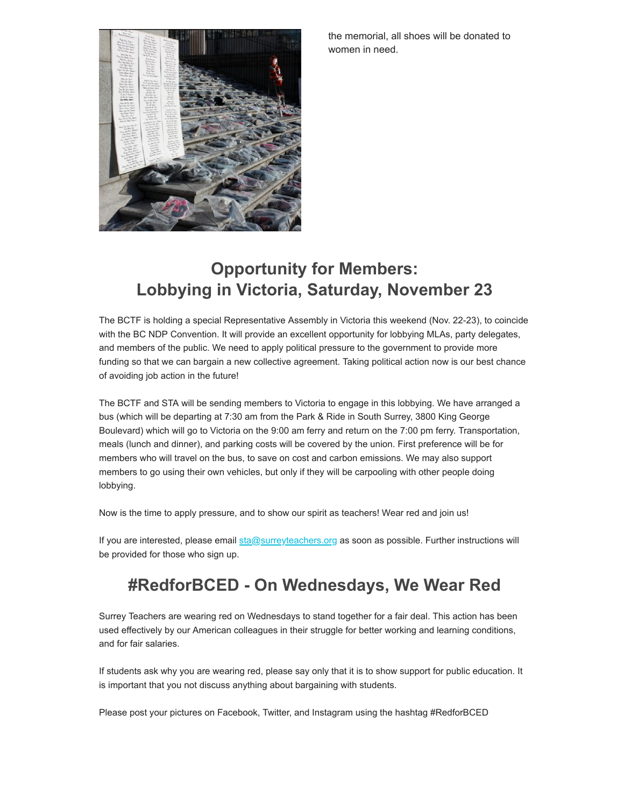

the memorial, all shoes will be donated to women in need.

# **Opportunity for Members: Lobbying in Victoria, Saturday, November 23**

The BCTF is holding a special Representative Assembly in Victoria this weekend (Nov. 22-23), to coincide with the BC NDP Convention. It will provide an excellent opportunity for lobbying MLAs, party delegates, and members of the public. We need to apply political pressure to the government to provide more funding so that we can bargain a new collective agreement. Taking political action now is our best chance of avoiding job action in the future!

The BCTF and STA will be sending members to Victoria to engage in this lobbying. We have arranged a bus (which will be departing at 7:30 am from the Park & Ride in South Surrey, 3800 King George Boulevard) which will go to Victoria on the 9:00 am ferry and return on the 7:00 pm ferry. Transportation, meals (lunch and dinner), and parking costs will be covered by the union. First preference will be for members who will travel on the bus, to save on cost and carbon emissions. We may also support members to go using their own vehicles, but only if they will be carpooling with other people doing lobbying.

Now is the time to apply pressure, and to show our spirit as teachers! Wear red and join us!

If you are interested, please email [sta@surreyteachers.org](mailto:sta@surreyteachers.org) as soon as possible. Further instructions will be provided for those who sign up.

# **#RedforBCED - On Wednesdays, We Wear Red**

Surrey Teachers are wearing red on Wednesdays to stand together for a fair deal. This action has been used effectively by our American colleagues in their struggle for better working and learning conditions, and for fair salaries.

If students ask why you are wearing red, please say only that it is to show support for public education. It is important that you not discuss anything about bargaining with students.

Please post your pictures on Facebook, Twitter, and Instagram using the hashtag #RedforBCED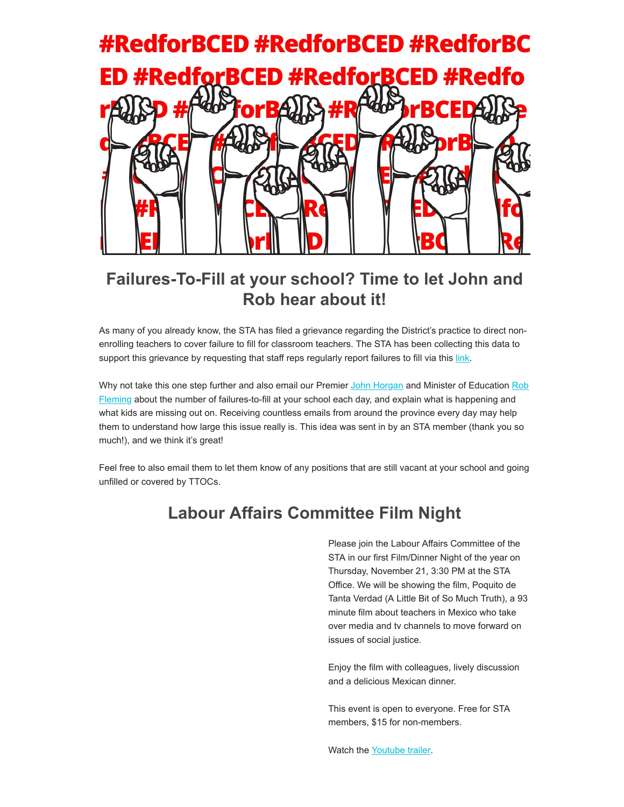

## **Failures-To-Fill at your school? Time to let John and Rob hear about it!**

As many of you already know, the STA has filed a grievance regarding the District's practice to direct nonenrolling teachers to cover failure to fill for classroom teachers. The STA has been collecting this data to support this grievance by requesting that staff reps regularly report failures to fill via this [link.](https://surreyteachers.us20.list-manage.com/track/click?u=37ec644ae87e34b54b3912660&id=13854777ae&e=7261da6bdb)

[Why not take this one step further and also email our Premier](mailto:rob.fleming.MLA@leg.bc.ca) [John Horgan](mailto:john.horgan.mla@leg.bc.ca) [and Minister of Education Rob](mailto:rob.fleming.MLA@leg.bc.ca) Fleming about the number of failures-to-fill at your school each day, and explain what is happening and what kids are missing out on. Receiving countless emails from around the province every day may help them to understand how large this issue really is. This idea was sent in by an STA member (thank you so much!), and we think it's great!

Feel free to also email them to let them know of any positions that are still vacant at your school and going unfilled or covered by TTOCs.

# **Labour Affairs Committee Film Night**

Please join the Labour Affairs Committee of the STA in our first Film/Dinner Night of the year on Thursday, November 21, 3:30 PM at the STA Office. We will be showing the film, Poquito de Tanta Verdad (A Little Bit of So Much Truth), a 93 minute film about teachers in Mexico who take over media and tv channels to move forward on issues of social justice.

Enjoy the film with colleagues, lively discussion and a delicious Mexican dinner.

This event is open to everyone. Free for STA members, \$15 for non-members.

Watch the [Youtube trailer.](https://surreyteachers.us20.list-manage.com/track/click?u=37ec644ae87e34b54b3912660&id=9299f55fc2&e=7261da6bdb)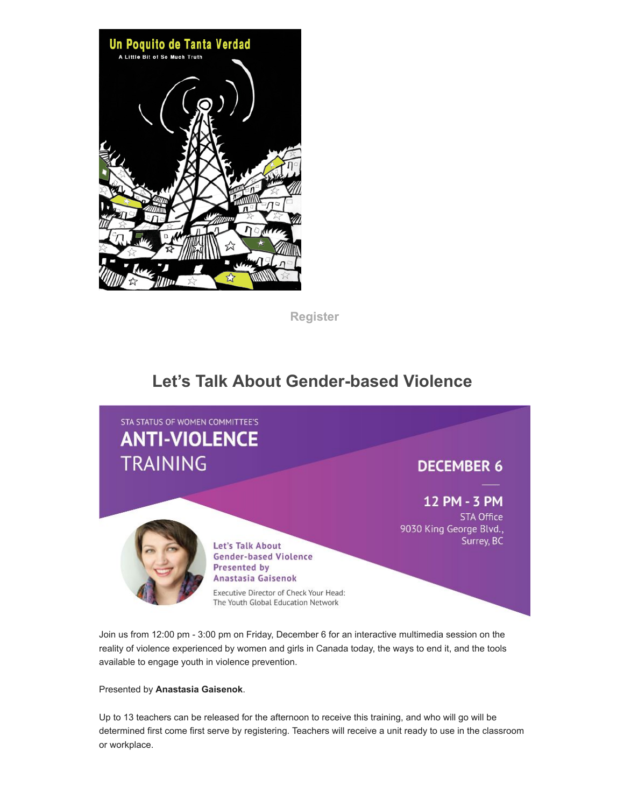

**[Register](https://surreyteachers.us20.list-manage.com/track/click?u=37ec644ae87e34b54b3912660&id=a74ad66a7e&e=7261da6bdb)**

# **Let's Talk About Gender-based Violence**



Join us from 12:00 pm - 3:00 pm on Friday, December 6 for an interactive multimedia session on the reality of violence experienced by women and girls in Canada today, the ways to end it, and the tools available to engage youth in violence prevention.

Presented by **Anastasia Gaisenok**.

Up to 13 teachers can be released for the afternoon to receive this training, and who will go will be determined first come first serve by registering. Teachers will receive a unit ready to use in the classroom or workplace.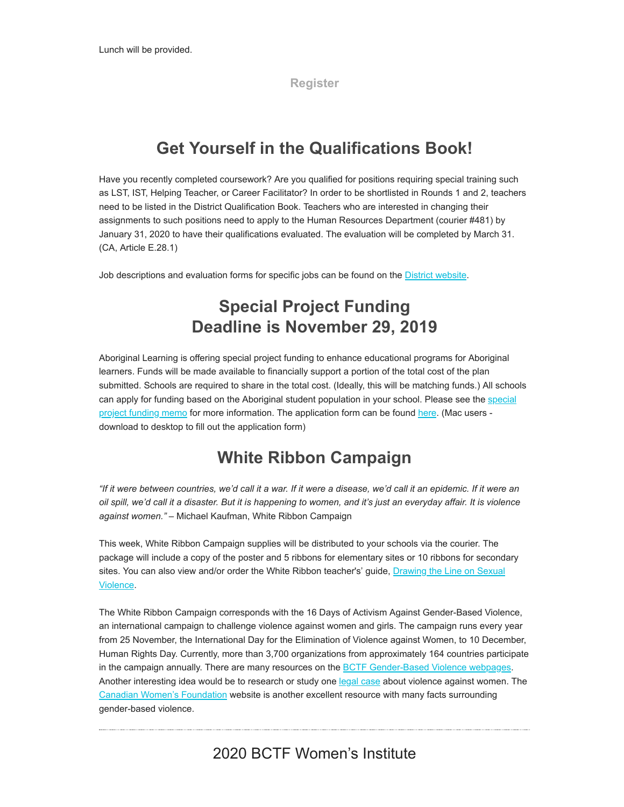**[Register](https://surreyteachers.us20.list-manage.com/track/click?u=37ec644ae87e34b54b3912660&id=6af49b55ae&e=7261da6bdb)**

## **Get Yourself in the Qualifications Book!**

Have you recently completed coursework? Are you qualified for positions requiring special training such as LST, IST, Helping Teacher, or Career Facilitator? In order to be shortlisted in Rounds 1 and 2, teachers need to be listed in the District Qualification Book. Teachers who are interested in changing their assignments to such positions need to apply to the Human Resources Department (courier #481) by January 31, 2020 to have their qualifications evaluated. The evaluation will be completed by March 31. (CA, Article E.28.1)

Job descriptions and evaluation forms for specific jobs can be found on the [District website.](https://surreyteachers.us20.list-manage.com/track/click?u=37ec644ae87e34b54b3912660&id=c2d3c17d26&e=7261da6bdb)

## **Special Project Funding Deadline is November 29, 2019**

Aboriginal Learning is offering special project funding to enhance educational programs for Aboriginal learners. Funds will be made available to financially support a portion of the total cost of the plan submitted. Schools are required to share in the total cost. (Ideally, this will be matching funds.) All schools [can apply for funding based on the Aboriginal student population in your school. Please see the special](https://surreyteachers.us20.list-manage.com/track/click?u=37ec644ae87e34b54b3912660&id=e5217483db&e=7261da6bdb) project funding memo for more information. The application form can be found [here.](https://surreyteachers.us20.list-manage.com/track/click?u=37ec644ae87e34b54b3912660&id=74808dc587&e=7261da6bdb) (Mac users download to desktop to fill out the application form)

## **White Ribbon Campaign**

*"If it were between countries, we'd call it a war. If it were a disease, we'd call it an epidemic. If it were an oil spill, we'd call it a disaster. But it is happening to women, and it's just an everyday affair. It is violence against women."* – Michael Kaufman, White Ribbon Campaign

This week, White Ribbon Campaign supplies will be distributed to your schools via the courier. The package will include a copy of the poster and 5 ribbons for elementary sites or 10 ribbons for secondary [sites. You can also view and/or order the White Ribbon teacher's' guide, Drawing the Line on Sexual](https://surreyteachers.us20.list-manage.com/track/click?u=37ec644ae87e34b54b3912660&id=706fdaf4b8&e=7261da6bdb) Violence.

The White Ribbon Campaign corresponds with the 16 Days of Activism Against Gender-Based Violence, an international campaign to challenge violence against women and girls. The campaign runs every year from 25 November, the International Day for the Elimination of Violence against Women, to 10 December, Human Rights Day. Currently, more than 3,700 organizations from approximately 164 countries participate in the campaign annually. There are many resources on the **BCTF Gender-Based Violence webpages**. Another interesting idea would be to research or study one [legal case](https://surreyteachers.us20.list-manage.com/track/click?u=37ec644ae87e34b54b3912660&id=143964c1ce&e=7261da6bdb) about violence against women. The [Canadian Women's Foundation](https://surreyteachers.us20.list-manage.com/track/click?u=37ec644ae87e34b54b3912660&id=adaa86c1f4&e=7261da6bdb) website is another excellent resource with many facts surrounding gender-based violence.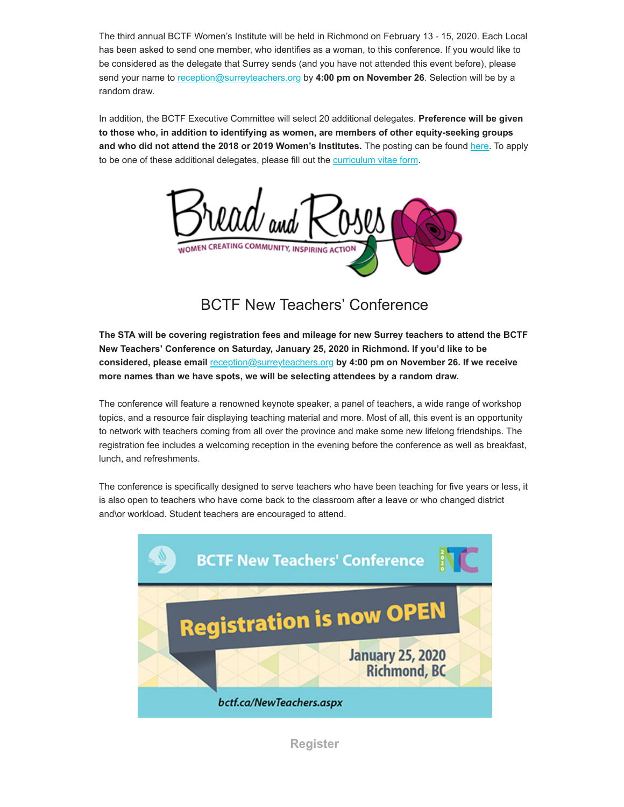The third annual BCTF Women's Institute will be held in Richmond on February 13 - 15, 2020. Each Local has been asked to send one member, who identifies as a woman, to this conference. If you would like to be considered as the delegate that Surrey sends (and you have not attended this event before), please send your name to [reception@surreyteachers.org](mailto:reception@surreyteachers.org) by **4:00 pm on November 26**. Selection will be by a random draw.

In addition, the BCTF Executive Committee will select 20 additional delegates. **Preference will be given to those who, in addition to identifying as women, are members of other equity-seeking groups and who did not attend the 2018 or 2019 Women's Institutes.** The posting can be found [here.](https://surreyteachers.us20.list-manage.com/track/click?u=37ec644ae87e34b54b3912660&id=5f4fbc6060&e=7261da6bdb) To apply to be one of these additional delegates, please fill out the [curriculum vitae form.](https://surreyteachers.us20.list-manage.com/track/click?u=37ec644ae87e34b54b3912660&id=4ea93deb6d&e=7261da6bdb)



### BCTF New Teachers' Conference

**The STA will be covering registration fees and mileage for new Surrey teachers to attend the BCTF New Teachers' Conference on Saturday, January 25, 2020 in Richmond. If you'd like to be considered, please email** [reception@surreyteachers.org](mailto:reception@surreyteachers.org) **by 4:00 pm on November 26. If we receive more names than we have spots, we will be selecting attendees by a random draw.** 

The conference will feature a renowned keynote speaker, a panel of teachers, a wide range of workshop topics, and a resource fair displaying teaching material and more. Most of all, this event is an opportunity to network with teachers coming from all over the province and make some new lifelong friendships. The registration fee includes a welcoming reception in the evening before the conference as well as breakfast, lunch, and refreshments.

The conference is specifically designed to serve teachers who have been teaching for five years or less, it is also open to teachers who have come back to the classroom after a leave or who changed district and\or workload. Student teachers are encouraged to attend.



**[Register](https://surreyteachers.us20.list-manage.com/track/click?u=37ec644ae87e34b54b3912660&id=da7a96e6f5&e=7261da6bdb)**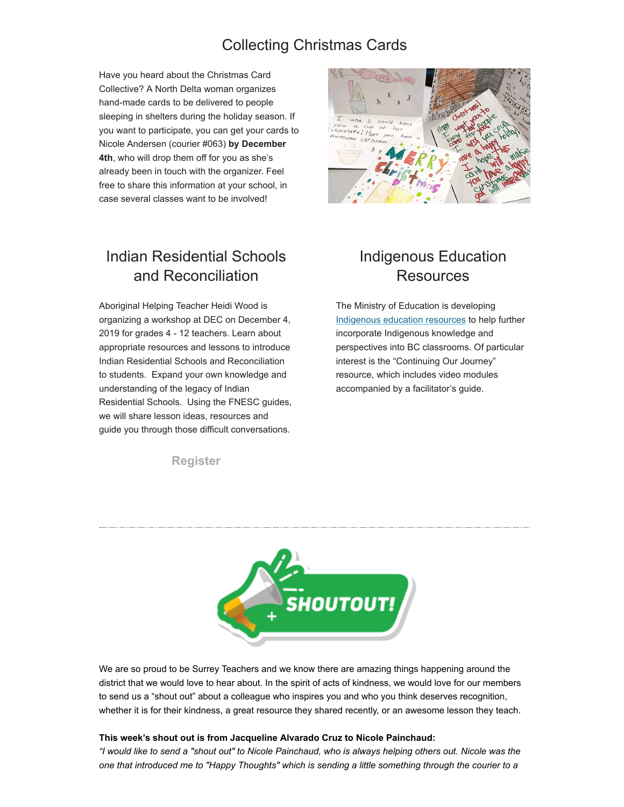#### Collecting Christmas Cards

Have you heard about the Christmas Card Collective? A North Delta woman organizes hand-made cards to be delivered to people sleeping in shelters during the holiday season. If you want to participate, you can get your cards to Nicole Andersen (courier #063) **by December 4th**, who will drop them off for you as she's already been in touch with the organizer. Feel free to share this information at your school, in case several classes want to be involved!

### Indian Residential Schools and Reconciliation

Aboriginal Helping Teacher Heidi Wood is organizing a workshop at DEC on December 4, 2019 for grades 4 - 12 teachers. Learn about appropriate resources and lessons to introduce Indian Residential Schools and Reconciliation to students. Expand your own knowledge and understanding of the legacy of Indian Residential Schools. Using the FNESC guides, we will share lesson ideas, resources and guide you through those difficult conversations.

#### Indigenous Education **Resources**

The Ministry of Education is developing [Indigenous education resources](https://surreyteachers.us20.list-manage.com/track/click?u=37ec644ae87e34b54b3912660&id=77da5ea394&e=7261da6bdb) to help further incorporate Indigenous knowledge and perspectives into BC classrooms. Of particular interest is the "Continuing Our Journey" resource, which includes video modules accompanied by a facilitator's guide.

**[Register](https://surreyteachers.us20.list-manage.com/track/click?u=37ec644ae87e34b54b3912660&id=ec2df0b763&e=7261da6bdb)**



We are so proud to be Surrey Teachers and we know there are amazing things happening around the district that we would love to hear about. In the spirit of acts of kindness, we would love for our members to send us a "shout out" about a colleague who inspires you and who you think deserves recognition, whether it is for their kindness, a great resource they shared recently, or an awesome lesson they teach.

#### **This week's shout out is from Jacqueline Alvarado Cruz to Nicole Painchaud:**

*"I would like to send a "shout out" to Nicole Painchaud, who is always helping others out. Nicole was the one that introduced me to "Happy Thoughts" which is sending a little something through the courier to a*